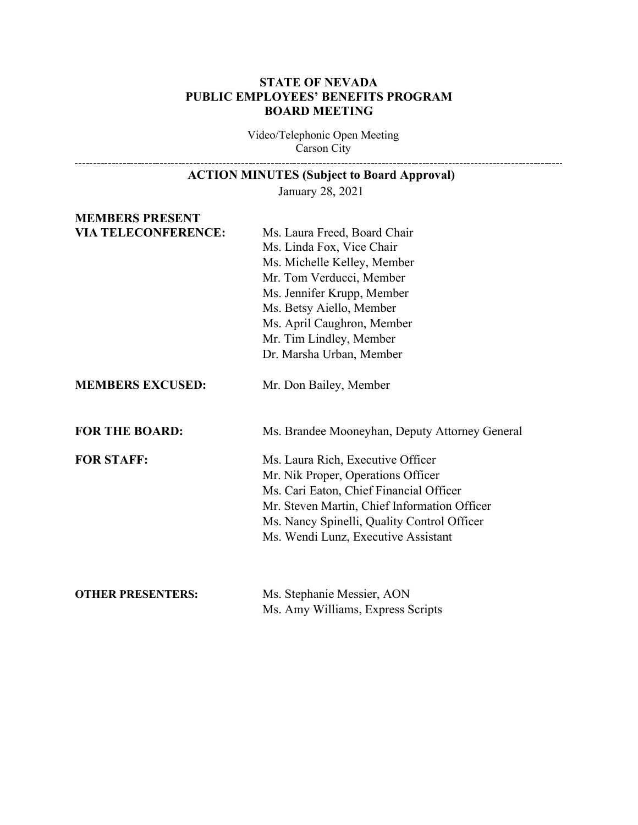# **STATE OF NEVADA PUBLIC EMPLOYEES' BENEFITS PROGRAM BOARD MEETING**

Video/Telephonic Open Meeting Carson City 

| <b>ACTION MINUTES (Subject to Board Approval)</b> |                                                                                                                                                                                                                                                                     |
|---------------------------------------------------|---------------------------------------------------------------------------------------------------------------------------------------------------------------------------------------------------------------------------------------------------------------------|
| January 28, 2021                                  |                                                                                                                                                                                                                                                                     |
| <b>MEMBERS PRESENT</b>                            |                                                                                                                                                                                                                                                                     |
| <b>VIA TELECONFERENCE:</b>                        | Ms. Laura Freed, Board Chair<br>Ms. Linda Fox, Vice Chair<br>Ms. Michelle Kelley, Member<br>Mr. Tom Verducci, Member<br>Ms. Jennifer Krupp, Member<br>Ms. Betsy Aiello, Member<br>Ms. April Caughron, Member<br>Mr. Tim Lindley, Member<br>Dr. Marsha Urban, Member |
| <b>MEMBERS EXCUSED:</b>                           | Mr. Don Bailey, Member                                                                                                                                                                                                                                              |
| <b>FOR THE BOARD:</b>                             | Ms. Brandee Mooneyhan, Deputy Attorney General                                                                                                                                                                                                                      |
| <b>FOR STAFF:</b>                                 | Ms. Laura Rich, Executive Officer<br>Mr. Nik Proper, Operations Officer<br>Ms. Cari Eaton, Chief Financial Officer<br>Mr. Steven Martin, Chief Information Officer<br>Ms. Nancy Spinelli, Quality Control Officer<br>Ms. Wendi Lunz, Executive Assistant            |
| <b>OTHER PRESENTERS:</b>                          | Ms. Stephanie Messier, AON<br>Ms. Amy Williams, Express Scripts                                                                                                                                                                                                     |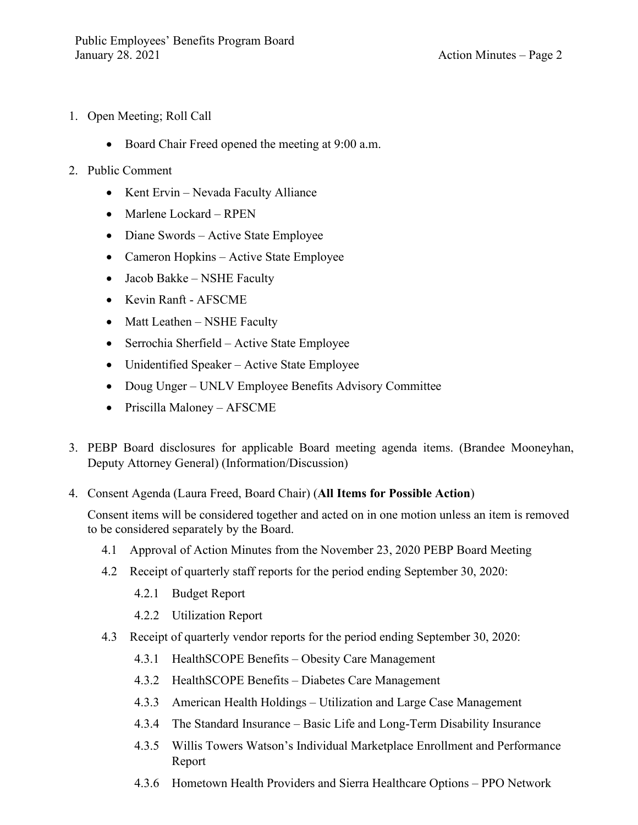- 1. Open Meeting; Roll Call
	- Board Chair Freed opened the meeting at 9:00 a.m.
- 2. Public Comment
	- Kent Ervin Nevada Faculty Alliance
	- Marlene Lockard RPEN
	- Diane Swords Active State Employee
	- Cameron Hopkins Active State Employee
	- Jacob Bakke NSHE Faculty
	- Kevin Ranft AFSCME
	- Matt Leathen NSHE Faculty
	- Serrochia Sherfield Active State Employee
	- Unidentified Speaker Active State Employee
	- Doug Unger UNLV Employee Benefits Advisory Committee
	- Priscilla Maloney AFSCME
- 3. PEBP Board disclosures for applicable Board meeting agenda items. (Brandee Mooneyhan, Deputy Attorney General) (Information/Discussion)
- 4. Consent Agenda (Laura Freed, Board Chair) (**All Items for Possible Action**)

Consent items will be considered together and acted on in one motion unless an item is removed to be considered separately by the Board.

- 4.1 Approval of Action Minutes from the November 23, 2020 PEBP Board Meeting
- 4.2 Receipt of quarterly staff reports for the period ending September 30, 2020:
	- 4.2.1 Budget Report
	- 4.2.2 Utilization Report
- 4.3 Receipt of quarterly vendor reports for the period ending September 30, 2020:
	- 4.3.1 HealthSCOPE Benefits Obesity Care Management
	- 4.3.2 HealthSCOPE Benefits Diabetes Care Management
	- 4.3.3 American Health Holdings Utilization and Large Case Management
	- 4.3.4 The Standard Insurance Basic Life and Long-Term Disability Insurance
	- 4.3.5 Willis Towers Watson's Individual Marketplace Enrollment and Performance Report
	- 4.3.6 Hometown Health Providers and Sierra Healthcare Options PPO Network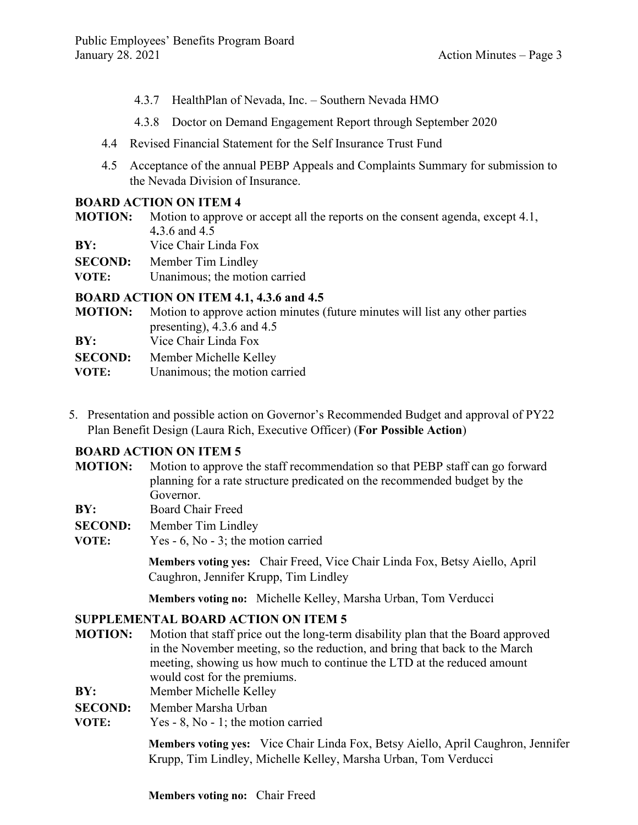- 4.3.7 HealthPlan of Nevada, Inc. Southern Nevada HMO
- 4.3.8 Doctor on Demand Engagement Report through September 2020
- 4.4 Revised Financial Statement for the Self Insurance Trust Fund
- 4.5 Acceptance of the annual PEBP Appeals and Complaints Summary for submission to the Nevada Division of Insurance.

# **BOARD ACTION ON ITEM 4**

- **MOTION:** Motion to approve or accept all the reports on the consent agenda, except 4.1, 4**.**3.6 and 4.5
- **BY:** Vice Chair Linda Fox

**SECOND:** Member Tim Lindley

**VOTE:** Unanimous; the motion carried

# **BOARD ACTION ON ITEM 4.1, 4.3.6 and 4.5**

- **MOTION:** Motion to approve action minutes (future minutes will list any other parties presenting), 4.3.6 and 4.5 **BY:** Vice Chair Linda Fox
- 
- **SECOND:** Member Michelle Kelley

**VOTE:** Unanimous: the motion carried

5. Presentation and possible action on Governor's Recommended Budget and approval of PY22 Plan Benefit Design (Laura Rich, Executive Officer) (**For Possible Action**)

# **BOARD ACTION ON ITEM 5**

- **MOTION:** Motion to approve the staff recommendation so that PEBP staff can go forward planning for a rate structure predicated on the recommended budget by the Governor.
- **BY:** Board Chair Freed
- **SECOND:** Member Tim Lindley
- **VOTE:** Yes 6, No 3; the motion carried

**Members voting yes:** Chair Freed, Vice Chair Linda Fox, Betsy Aiello, April Caughron, Jennifer Krupp, Tim Lindley

**Members voting no:** Michelle Kelley, Marsha Urban, Tom Verducci

# **SUPPLEMENTAL BOARD ACTION ON ITEM 5**

- **MOTION:** Motion that staff price out the long-term disability plan that the Board approved in the November meeting, so the reduction, and bring that back to the March meeting, showing us how much to continue the LTD at the reduced amount would cost for the premiums.
- **BY:** Member Michelle Kelley
- **SECOND:** Member Marsha Urban
- **VOTE:** Yes 8, No 1; the motion carried

**Members voting yes:** Vice Chair Linda Fox, Betsy Aiello, April Caughron, Jennifer Krupp, Tim Lindley, Michelle Kelley, Marsha Urban, Tom Verducci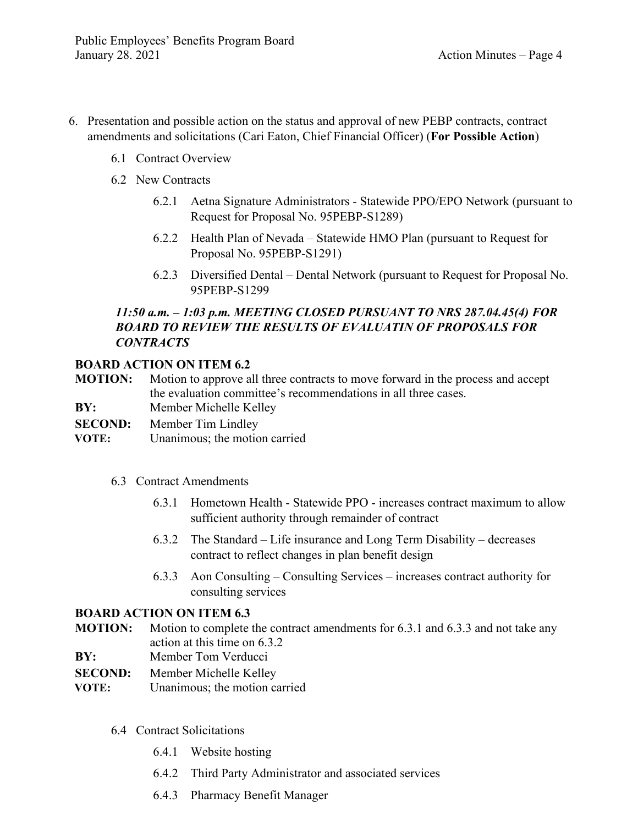- 6. Presentation and possible action on the status and approval of new PEBP contracts, contract amendments and solicitations (Cari Eaton, Chief Financial Officer) (**For Possible Action**)
	- 6.1 Contract Overview
	- 6.2 New Contracts
		- 6.2.1 Aetna Signature Administrators Statewide PPO/EPO Network (pursuant to Request for Proposal No. 95PEBP-S1289)
		- 6.2.2 Health Plan of Nevada Statewide HMO Plan (pursuant to Request for Proposal No. 95PEBP-S1291)
		- 6.2.3 Diversified Dental Dental Network (pursuant to Request for Proposal No. 95PEBP-S1299

# *11:50 a.m. – 1:03 p.m. MEETING CLOSED PURSUANT TO NRS 287.04.45(4) FOR BOARD TO REVIEW THE RESULTS OF EVALUATIN OF PROPOSALS FOR CONTRACTS*

#### **BOARD ACTION ON ITEM 6.2**

**MOTION:** Motion to approve all three contracts to move forward in the process and accept the evaluation committee's recommendations in all three cases.

- **BY:** Member Michelle Kelley
- **SECOND:** Member Tim Lindley
- **VOTE:** Unanimous; the motion carried

#### 6.3 Contract Amendments

- 6.3.1 Hometown Health Statewide PPO increases contract maximum to allow sufficient authority through remainder of contract
- 6.3.2 The Standard Life insurance and Long Term Disability decreases contract to reflect changes in plan benefit design
- 6.3.3 Aon Consulting Consulting Services increases contract authority for consulting services

# **BOARD ACTION ON ITEM 6.3**

- **MOTION:** Motion to complete the contract amendments for 6.3.1 and 6.3.3 and not take any action at this time on 6.3.2
- **BY:** Member Tom Verducci
- **SECOND:** Member Michelle Kelley
- **VOTE:** Unanimous; the motion carried
	- 6.4 Contract Solicitations
		- 6.4.1 Website hosting
		- 6.4.2 Third Party Administrator and associated services
		- 6.4.3 Pharmacy Benefit Manager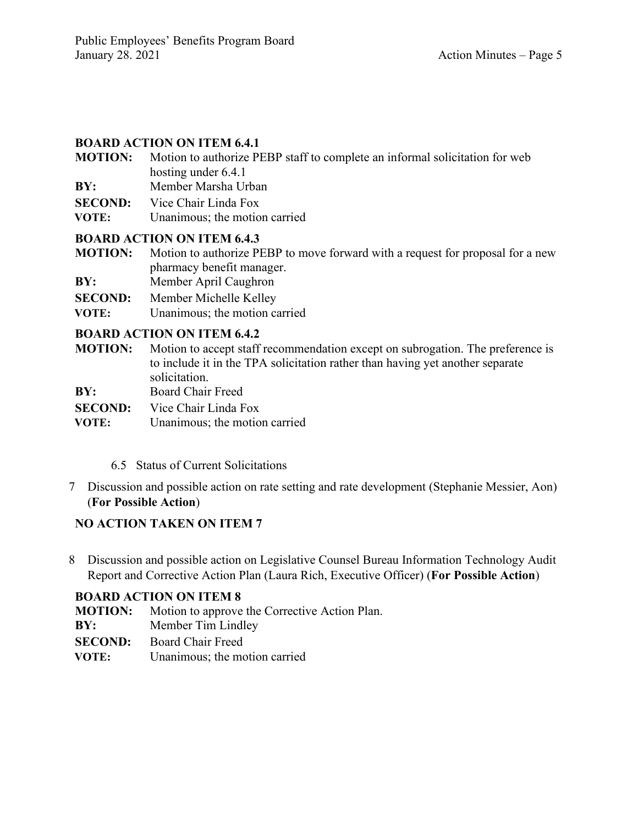# **BOARD ACTION ON ITEM 6.4.1**

- **MOTION:** Motion to authorize PEBP staff to complete an informal solicitation for web hosting under 6.4.1
- **BY:** Member Marsha Urban
- **SECOND:** Vice Chair Linda Fox
- **VOTE:** Unanimous; the motion carried

#### **BOARD ACTION ON ITEM 6.4.3**

**MOTION:** Motion to authorize PEBP to move forward with a request for proposal for a new pharmacy benefit manager.

- **BY:** Member April Caughron
- **SECOND:** Member Michelle Kelley
- **VOTE:** Unanimous; the motion carried

#### **BOARD ACTION ON ITEM 6.4.2**

- **MOTION:** Motion to accept staff recommendation except on subrogation. The preference is to include it in the TPA solicitation rather than having yet another separate solicitation.
- **BY:** Board Chair Freed
- **SECOND:** Vice Chair Linda Fox
- **VOTE:** Unanimous; the motion carried
	- 6.5 Status of Current Solicitations
- 7 Discussion and possible action on rate setting and rate development (Stephanie Messier, Aon) (**For Possible Action**)

# **NO ACTION TAKEN ON ITEM 7**

8 Discussion and possible action on Legislative Counsel Bureau Information Technology Audit Report and Corrective Action Plan (Laura Rich, Executive Officer) (**For Possible Action**)

#### **BOARD ACTION ON ITEM 8**

- **MOTION:** Motion to approve the Corrective Action Plan.
- **BY:** Member Tim Lindley
- **SECOND:** Board Chair Freed
- **VOTE:** Unanimous; the motion carried